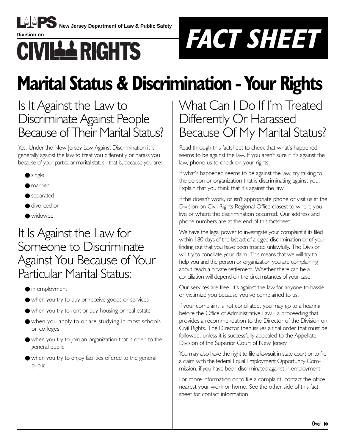

**New Jersey Department of Law & Public Safety**



# **Marital Status & Discrimination - Your Rights**

### Is It Against the Law to Discriminate Against People Because of Their Marital Status?

Yes. Under the New Jersey Law Against Discrimination it is generally against the law to treat you differently or harass you because of your particular marital status - that is, because you are:

- $\bullet$  single
- married
- separated
- divorced or
- widowed

### It Is Against the Law for Someone to Discriminate Against You Because of Your Particular Marital Status:

- $\bullet$  in employment
- when you try to buy or receive goods or services
- when you try to rent or buy housing or real estate
- when you apply to or are studying in most schools or colleges
- when you try to join an organization that is open to the general public
- when you try to enjoy facilities offered to the general public

### What Can I Do If Iím Treated Differently Or Harassed Because Of My Marital Status?

Read through this factsheet to check that what's happened seems to be against the law. If you aren't sure if it's against the law, phone us to check on your rights.

If what's happened seems to be against the law, try talking to the person or organization that is discriminating against you. Explain that you think that it's against the law.

If this doesn't work, or isn't appropriate phone or visit us at the Division on Civil Rights Regional Office closest to where you live or where the discrimination occurred. Our address and phone numbers are at the end of this factsheet.

We have the legal power to investigate your complaint if its filed within 180 days of the last act of alleged discrimination or of your finding out that you have been treated unlawfully. The Division will try to conciliate your claim. This means that we will try to help you and the person or organization you are complaining about reach a private settlement. Whether there can be a conciliation will depend on the circumstances of your case.

Our services are free. It's against the law for anyone to hassle or victimize you because you've complained to us.

If your complaint is not conciliated, you may go to a hearing before the Office of Administrative Law - a proceeding that provides a recommendation to the Director of the Division on Civil Rights. The Director then issues a final order that must be followed, unless it is successfully appealed to the Appellate Division of the Superior Court of New Jersey.

You may also have the right to file a lawsuit in state court or to file a claim with the federal Equal Employment Opportunity Commission, if you have been discriminated against in employment.

For more information or to file a complaint, contact the office nearest your work or home. See the other side of this fact sheet for contact information.